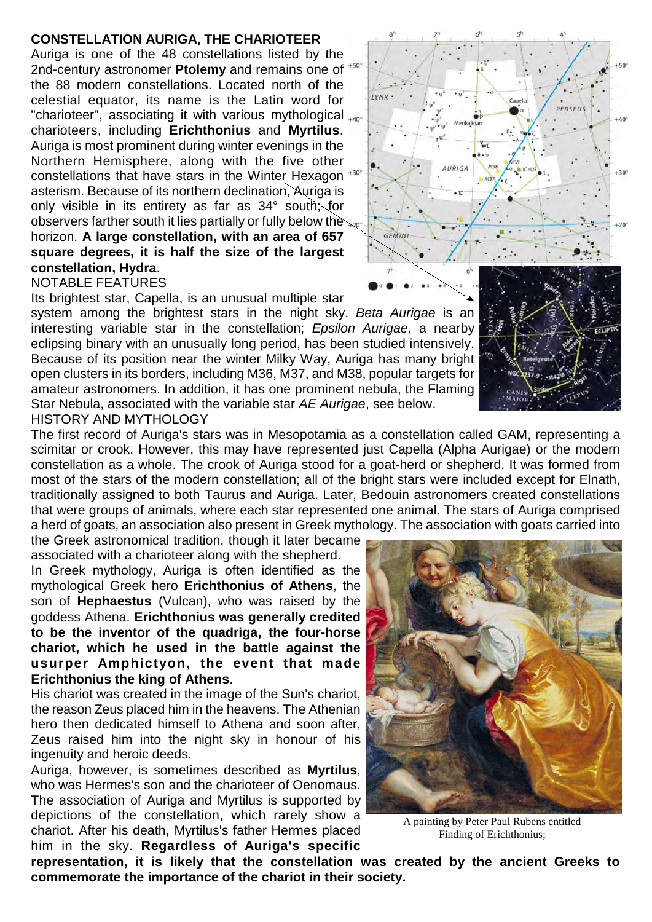## **CONSTELLATION AURIGA, THE CHARIOTEER**

Auriga is one of the 48 constellations listed by the 2nd-century astronomer **Ptolemy** and remains one of the 88 modern constellations. Located north of the celestial equator, its name is the Latin word for "charioteer", associating it with various mythological <sub>+40</sub> charioteers, including **Erichthonius** and **Myrtilus**. Auriga is most prominent during winter evenings in the Northern Hemisphere, along with the five other constellations that have stars in the Winter Hexagon asterism. Because of its northern declination, Auriga is only visible in its entirety as far as 34° south; for observers farther south it lies partially or fully below the horizon. **A large constellation, with an area of 657 square degrees, it is half the size of the largest constellation, Hydra**. NOTABLE FEATURES

Its brightest star, Capella, is an unusual multiple star

system among the brightest stars in the night sky. *Beta Aurigae* is an interesting variable star in the constellation; *Epsilon Aurigae*, a nearby eclipsing binary with an unusually long period, has been studied intensively. Because of its position near the winter Milky Way, Auriga has many bright open clusters in its borders, including M36, M37, and M38, popular targets for amateur astronomers. In addition, it has one prominent nebula, the Flaming Star Nebula, associated with the variable star *AE Aurigae*, see below. HISTORY AND MYTHOLOGY

The first record of Auriga's stars was in Mesopotamia as a constellation called GAM, representing a scimitar or crook. However, this may have represented just Capella (Alpha Aurigae) or the modern constellation as a whole. The crook of Auriga stood for a goat-herd or shepherd. It was formed from most of the stars of the modern constellation; all of the bright stars were included except for Elnath, traditionally assigned to both Taurus and Auriga. Later, Bedouin astronomers created constellations that were groups of animals, where each star represented one animal. The stars of Auriga comprised a herd of goats, an association also present in Greek mythology. The association with goats carried into

the Greek astronomical tradition, though it later became associated with a charioteer along with the shepherd.

In Greek mythology, Auriga is often identified as the mythological Greek hero **Erichthonius of Athens**, the son of **Hephaestus** (Vulcan), who was raised by the goddess Athena. **Erichthonius was generally credited to be the inventor of the quadriga, the four-horse chariot, which he used in the battle against the usurper Amphictyon, the event that made Erichthonius the king of Athens**.

His chariot was created in the image of the Sun's chariot, the reason Zeus placed him in the heavens. The Athenian hero then dedicated himself to Athena and soon after, Zeus raised him into the night sky in honour of his ingenuity and heroic deeds.

Auriga, however, is sometimes described as **Myrtilus**, who was Hermes's son and the charioteer of Oenomaus. The association of Auriga and Myrtilus is supported by depictions of the constellation, which rarely show a chariot. After his death, Myrtilus's father Hermes placed him in the sky. **Regardless of Auriga's specific**

**representation, it is likely that the constellation was created by the ancient Greeks to commemorate the importance of the chariot in their society.**



A painting by Peter Paul Rubens entitled Finding of Erichthonius;